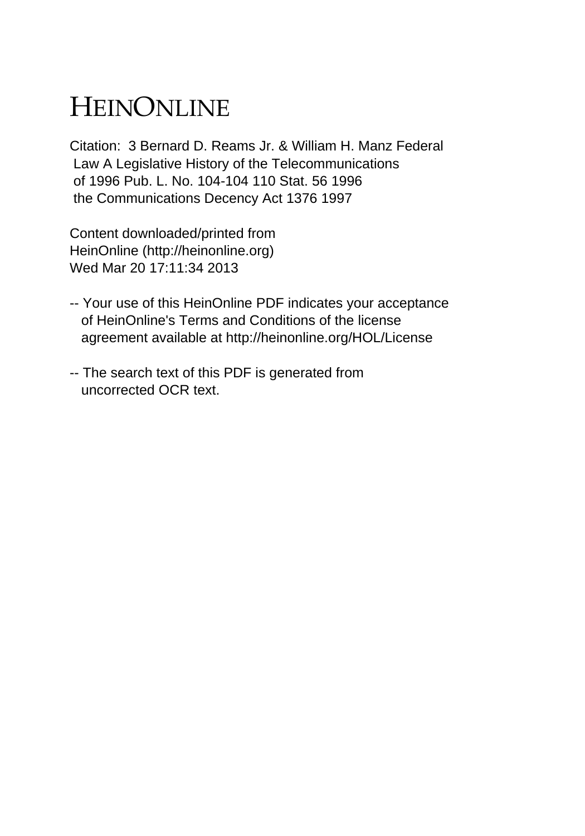# HEINONLINE

Citation: 3 Bernard D. Reams Jr. & William H. Manz Federal Law A Legislative History of the Telecommunications of 1996 Pub. L. No. 104-104 110 Stat. 56 1996 the Communications Decency Act 1376 1997

Content downloaded/printed from HeinOnline (http://heinonline.org) Wed Mar 20 17:11:34 2013

- -- Your use of this HeinOnline PDF indicates your acceptance of HeinOnline's Terms and Conditions of the license agreement available at http://heinonline.org/HOL/License
- -- The search text of this PDF is generated from uncorrected OCR text.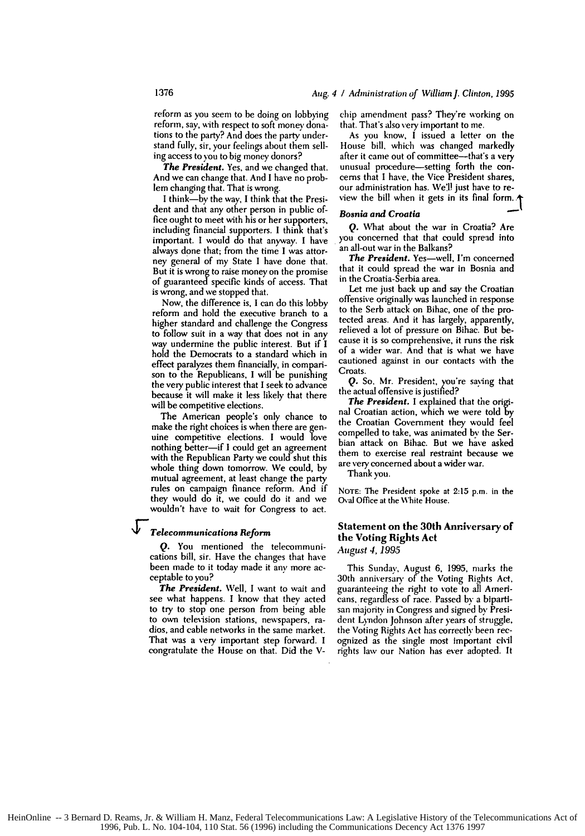#### Aug. 4 **/** Administration of William j. Clinton, 1995

reform as you seem to be doing on lobbying reform, say, with respect to soft money donations to the party? And does the party understand fully, sir, your feelings about them selling access to you to big money donors?

*The President.* Yes, and we changed that. And we can change that. And I have no problem changing that. That is wrong.

**I** think-by the way, I think that the President and that any other person in public office ought to meet with his or her supporters, including financial supporters. I think that's important. I would do that anyway. I have always done that; from the time I was attorney general of my State I have done that. But it is wrong to raise money on the promise of guaranteed specific kinds of access. That is wrong, and we stopped that.

Now, the difference is, I can do this lobby reform and hold the executive branch to a higher standard and challenge the Congress to follow suit in a way that does not in any way undermine the public interest. But if I hold the Democrats to a standard which in effect paralyzes them financially, in comparison to the Republicans, I will be punishing the very public interest that I seek to advance because it will make it less likely that there will be competitive elections.

The American people's only chance to make the right choices is when there are genuine competitive elections. I would love nothing better-if I could get an agreement with the Republican Party we could shut this whole thing down tomorrow. We could, by mutual agreement, at least change the party rules on campaign finance reform. And if they would do it, we could do it and we wouldn't have to wait for Congress to act.

#### *Telecommunications Reform*

**Q.** You mentioned the telecommunications bill, sir. Have the changes that have been made to it today made it any more acceptable to you?

*The President.* Well, I want to wait and see what happens. I know that they acted to try to stop one person from being able to own television stations, newspapers, radios, and cable networks in the same market. That was a very important step forward. **I** congratulate the House on that. Did the V- chip amendment pass? They're working on that. That's also very important to me.

As you know, I issued a letter on the House bill. which was changed markedly after it came out of committee-that's a very unusual procedure-setting forth the concerns that I have, the Vice President shares, our administration has. We'l! just have to review the bill when it gets in its final form.

#### *Bosnia and Croatia*

*Q.* What about the war in Croatia? Are you concerned that that could spread into an all-out war in the Balkans?

*The President.* Yes-well, I'm concerned that it could spread the war in Bosnia and in the Croatia-Serbia area.

Let me just back up and say the Croatian offensive originally was launched in response to the Serb attack on Bihac, one of the protected areas. And it has largely, apparently, relieved a lot of pressure on Bihac. But because it is so comprehensive, it runs the risk of a wider war. And that is what we have cautioned against in our contacts with the **Croats** 

*Q.* So, Mr. President, you're saying that the actual offensive is justified?

**The President.** I explained that the original Croatian action, which we were told by the Croatian Government they would feel compelled to take, was animated **by** the Serbian attack on Bihac. But we have asked them to exercise real restraint because we are very concerned about a wider war.

Thank you.

**NOTE:** The President spoke at 2:15 p.m. in the Oval Office at the White House.

### Statement on **the 30th** Anniversary **of the Voting Rights Act**

*August 4, 1995*

This Sunday, August 6, 1995, marks the 30th anniversary of the Voting Rights Act, guaranteeing the right to vote to all Americans, regardless of race. Passed by a bipartisan majority in Congress and signed by President Lyndon Johnson after years of struggle, the Voting Rights Act has correctly been recognized as the single most important civil rights law our Nation has ever adopted. It

1376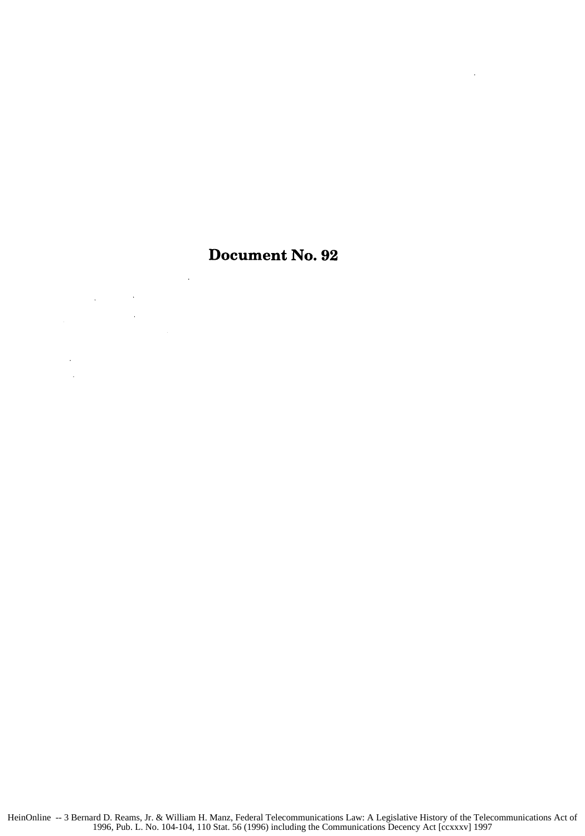## Document No. **92**

 $\bar{\beta}$ 

 $\bar{z}$ 

 $\ddot{\phantom{a}}$ 

 $\sim 1$ 

 $\ddot{\phantom{a}}$ 

 $\ddot{\phantom{a}}$